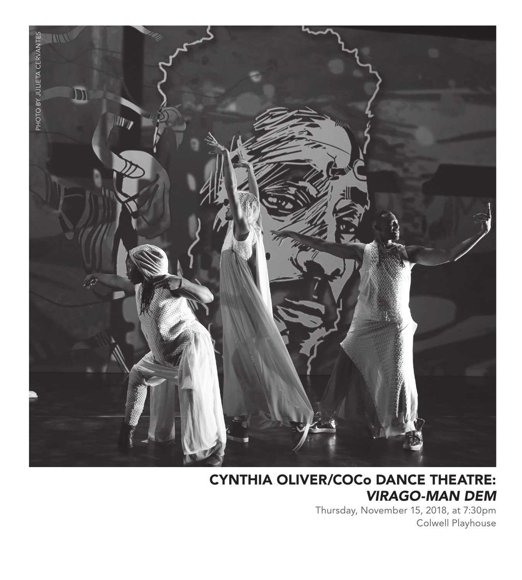

### CYNTHIA OLIVER/COCo DANCE THEATRE: *VIRAGO-MAN DEM*

Thursday, November 15, 2018, at 7:30pm Colwell Playhouse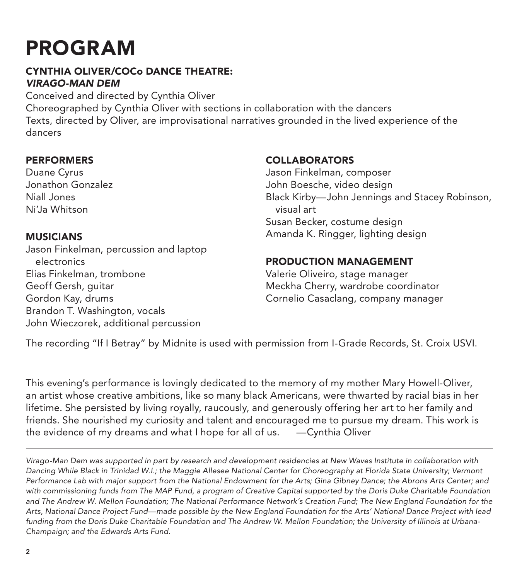## PROGRAM

#### CYNTHIA OLIVER/COCo DANCE THEATRE: *VIRAGO-MAN DEM*

Conceived and directed by Cynthia Oliver Choreographed by Cynthia Oliver with sections in collaboration with the dancers Texts, directed by Oliver, are improvisational narratives grounded in the lived experience of the dancers

#### PERFORMERS

Duane Cyrus Jonathon Gonzalez Niall Jones Ni'Ja Whitson

#### MUSICIANS

Jason Finkelman, percussion and laptop electronics Elias Finkelman, trombone Geoff Gersh, guitar Gordon Kay, drums Brandon T. Washington, vocals John Wieczorek, additional percussion

#### COLLABORATORS

Jason Finkelman, composer John Boesche, video design Black Kirby—John Jennings and Stacey Robinson, visual art Susan Becker, costume design Amanda K. Ringger, lighting design

#### PRODUCTION MANAGEMENT

Valerie Oliveiro, stage manager Meckha Cherry, wardrobe coordinator Cornelio Casaclang, company manager

The recording "If I Betray" by Midnite is used with permission from I-Grade Records, St. Croix USVI.

This evening's performance is lovingly dedicated to the memory of my mother Mary Howell-Oliver, an artist whose creative ambitions, like so many black Americans, were thwarted by racial bias in her lifetime. She persisted by living royally, raucously, and generously offering her art to her family and friends. She nourished my curiosity and talent and encouraged me to pursue my dream. This work is the evidence of my dreams and what I hope for all of us. —Cynthia Oliver

*Virago-Man Dem was supported in part by research and development residencies at New Waves Institute in collaboration with Dancing While Black in Trinidad W.I.; the Maggie Allesee National Center for Choreography at Florida State University; Vermont Performance Lab with major support from the National Endowment for the Arts; Gina Gibney Dance; the Abrons Arts Center; and with commissioning funds from The MAP Fund, a program of Creative Capital supported by the Doris Duke Charitable Foundation*  and The Andrew W. Mellon Foundation; The National Performance Network's Creation Fund; The New England Foundation for the *Arts, National Dance Project Fund—made possible by the New England Foundation for the Arts' National Dance Project with lead funding from the Doris Duke Charitable Foundation and The Andrew W. Mellon Foundation; the University of Illinois at Urbana-Champaign; and the Edwards Arts Fund.*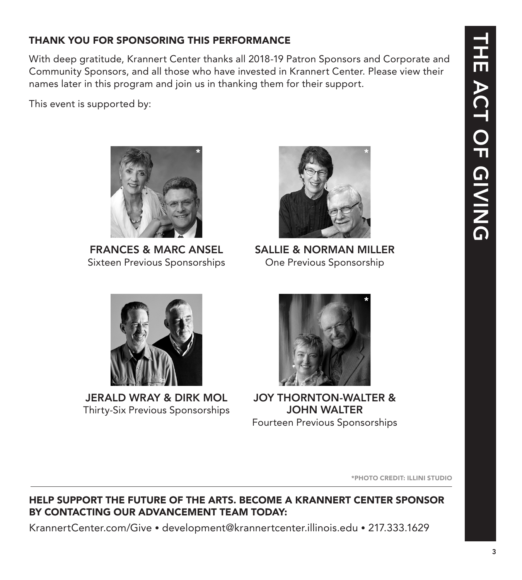# THE ACT OF GIVING **THE ACT OF GIVING**

#### THANK YOU FOR SPONSORING THIS PERFORMANCE

With deep gratitude, Krannert Center thanks all 2018-19 Patron Sponsors and Corporate and Community Sponsors, and all those who have invested in Krannert Center. Please view their names later in this program and join us in thanking them for their support.

\*

This event is supported by:



Sixteen Previous Sponsorships

SALLIE & NORMAN MILLER One Previous Sponsorship

\*



JERALD WRAY & DIRK MOL Thirty-Six Previous Sponsorships



JOY THORNTON-WALTER & JOHN WALTER Fourteen Previous Sponsorships

\*PHOTO CREDIT: ILLINI STUDIO

#### HELP SUPPORT THE FUTURE OF THE ARTS. BECOME A KRANNERT CENTER SPONSOR BY CONTACTING OUR ADVANCEMENT TEAM TODAY:

KrannertCenter.com/Give • development@krannertcenter.illinois.edu • 217.333.1629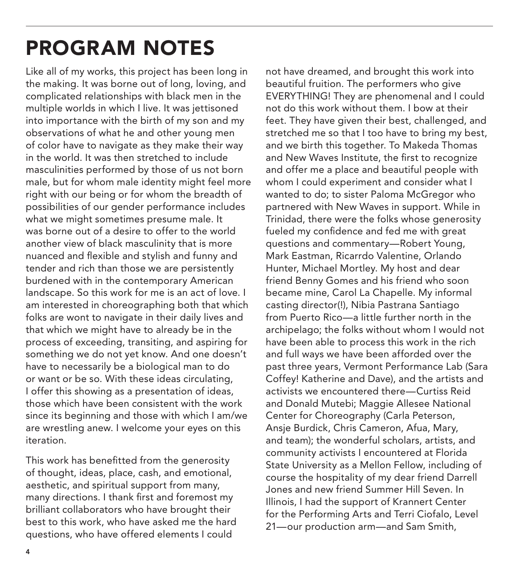## PROGRAM NOTES

Like all of my works, this project has been long in the making. It was borne out of long, loving, and complicated relationships with black men in the multiple worlds in which I live. It was jettisoned into importance with the birth of my son and my observations of what he and other young men of color have to navigate as they make their way in the world. It was then stretched to include masculinities performed by those of us not born male, but for whom male identity might feel more right with our being or for whom the breadth of possibilities of our gender performance includes what we might sometimes presume male. It was borne out of a desire to offer to the world another view of black masculinity that is more nuanced and flexible and stylish and funny and tender and rich than those we are persistently burdened with in the contemporary American landscape. So this work for me is an act of love. I am interested in choreographing both that which folks are wont to navigate in their daily lives and that which we might have to already be in the process of exceeding, transiting, and aspiring for something we do not yet know. And one doesn't have to necessarily be a biological man to do or want or be so. With these ideas circulating, I offer this showing as a presentation of ideas, those which have been consistent with the work since its beginning and those with which I am/we are wrestling anew. I welcome your eyes on this iteration.

This work has benefitted from the generosity of thought, ideas, place, cash, and emotional, aesthetic, and spiritual support from many, many directions. I thank first and foremost my brilliant collaborators who have brought their best to this work, who have asked me the hard questions, who have offered elements I could

not have dreamed, and brought this work into beautiful fruition. The performers who give EVERYTHING! They are phenomenal and I could not do this work without them. I bow at their feet. They have given their best, challenged, and stretched me so that I too have to bring my best, and we birth this together. To Makeda Thomas and New Waves Institute, the first to recognize and offer me a place and beautiful people with whom I could experiment and consider what I wanted to do; to sister Paloma McGregor who partnered with New Waves in support. While in Trinidad, there were the folks whose generosity fueled my confidence and fed me with great questions and commentary—Robert Young, Mark Eastman, Ricarrdo Valentine, Orlando Hunter, Michael Mortley. My host and dear friend Benny Gomes and his friend who soon became mine, Carol La Chapelle. My informal casting director(!), Nibia Pastrana Santiago from Puerto Rico—a little further north in the archipelago; the folks without whom I would not have been able to process this work in the rich and full ways we have been afforded over the past three years, Vermont Performance Lab (Sara Coffey! Katherine and Dave), and the artists and activists we encountered there—Curtiss Reid and Donald Mutebi; Maggie Allesee National Center for Choreography (Carla Peterson, Ansje Burdick, Chris Cameron, Afua, Mary, and team); the wonderful scholars, artists, and community activists I encountered at Florida State University as a Mellon Fellow, including of course the hospitality of my dear friend Darrell Jones and new friend Summer Hill Seven. In Illinois, I had the support of Krannert Center for the Performing Arts and Terri Ciofalo, Level 21—our production arm—and Sam Smith,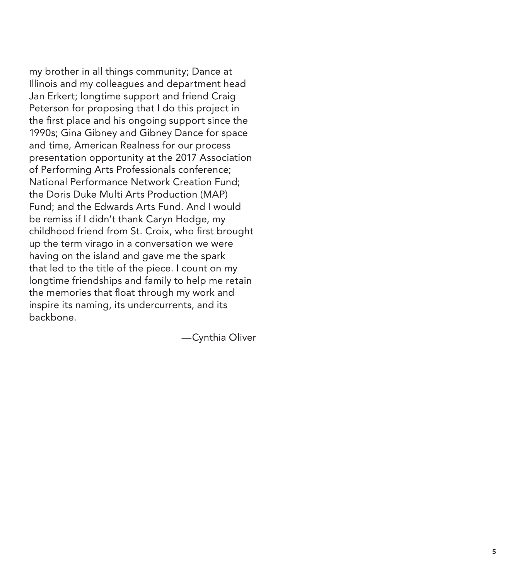my brother in all things community; Dance at Illinois and my colleagues and department head Jan Erkert; longtime support and friend Craig Peterson for proposing that I do this project in the first place and his ongoing support since the 1990s; Gina Gibney and Gibney Dance for space and time, American Realness for our process presentation opportunity at the 2017 Association of Performing Arts Professionals conference; National Performance Network Creation Fund; the Doris Duke Multi Arts Production (MAP) Fund; and the Edwards Arts Fund. And I would be remiss if I didn't thank Caryn Hodge, my childhood friend from St. Croix, who first brought up the term virago in a conversation we were having on the island and gave me the spark that led to the title of the piece. I count on my longtime friendships and family to help me retain the memories that float through my work and inspire its naming, its undercurrents, and its backbone.

—Cynthia Oliver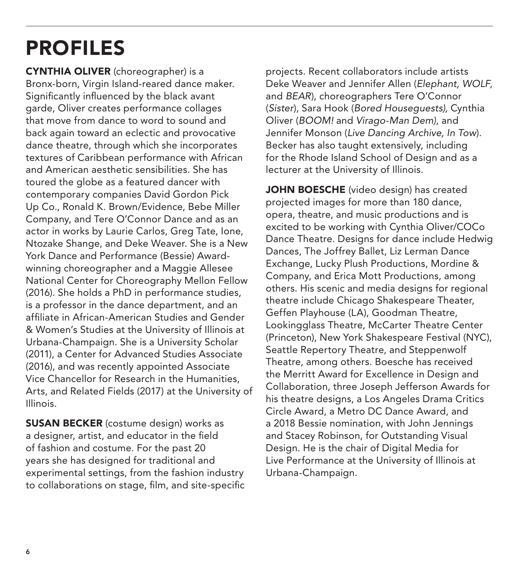## PROFILES

CYNTHIA OLIVER (choreographer) is a Bronx-born, Virgin Island-reared dance maker. Significantly influenced by the black avant garde, Oliver creates performance collages that move from dance to word to sound and back again toward an eclectic and provocative dance theatre, through which she incorporates textures of Caribbean performance with African and American aesthetic sensibilities. She has toured the globe as a featured dancer with contemporary companies David Gordon Pick Up Co., Ronald K. Brown/Evidence, Bebe Miller Company, and Tere O'Connor Dance and as an actor in works by Laurie Carlos, Greg Tate, Ione, Ntozake Shange, and Deke Weaver. She is a New York Dance and Performance (Bessie) Awardwinning choreographer and a Maggie Allesee National Center for Choreography Mellon Fellow (2016). She holds a PhD in performance studies, is a professor in the dance department, and an affiliate in African-American Studies and Gender & Women's Studies at the University of Illinois at Urbana-Champaign. She is a University Scholar (2011), a Center for Advanced Studies Associate (2016), and was recently appointed Associate Vice Chancellor for Research in the Humanities, Arts, and Related Fields (2017) at the University of Illinois.

**SUSAN BECKER** (costume design) works as a designer, artist, and educator in the field of fashion and costume. For the past 20 years she has designed for traditional and experimental settings, from the fashion industry to collaborations on stage, film, and site-specific

projects. Recent collaborators include artists Deke Weaver and Jennifer Allen (*Elephant, WOLF,*  and *BEAR*), choreographers Tere O'Connor (*Sister*), Sara Hook (*Bored Houseguests),* Cynthia Oliver (*BOOM!* and *Virago-Man Dem)*, and Jennifer Monson (*Live Dancing Archive, In Tow*)*.* Becker has also taught extensively, including for the Rhode Island School of Design and as a lecturer at the University of Illinois.

JOHN BOESCHE (video design) has created projected images for more than 180 dance, opera, theatre, and music productions and is excited to be working with Cynthia Oliver/COCo Dance Theatre. Designs for dance include Hedwig Dances, The Joffrey Ballet, Liz Lerman Dance Exchange, Lucky Plush Productions, Mordine & Company, and Erica Mott Productions, among others. His scenic and media designs for regional theatre include Chicago Shakespeare Theater, Geffen Playhouse (LA), Goodman Theatre, Lookingglass Theatre, McCarter Theatre Center (Princeton), New York Shakespeare Festival (NYC), Seattle Repertory Theatre, and Steppenwolf Theatre, among others. Boesche has received the Merritt Award for Excellence in Design and Collaboration, three Joseph Jefferson Awards for his theatre designs, a Los Angeles Drama Critics Circle Award, a Metro DC Dance Award, and a 2018 Bessie nomination, with John Jennings and Stacey Robinson, for Outstanding Visual Design. He is the chair of Digital Media for Live Performance at the University of Illinois at Urbana-Champaign.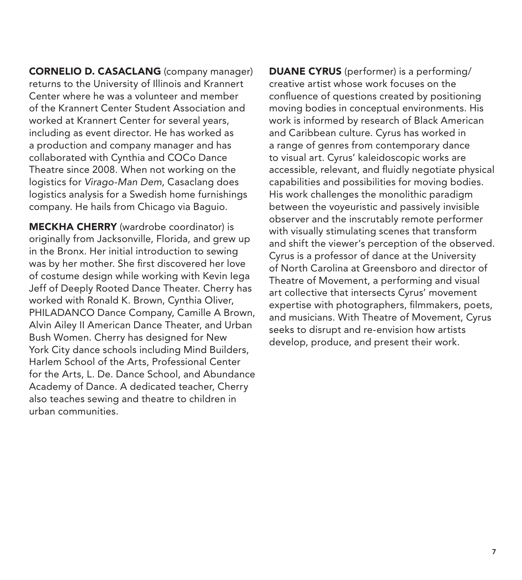CORNELIO D. CASACLANG (company manager) returns to the University of Illinois and Krannert Center where he was a volunteer and member of the Krannert Center Student Association and worked at Krannert Center for several years, including as event director. He has worked as a production and company manager and has collaborated with Cynthia and COCo Dance Theatre since 2008. When not working on the logistics for *Virago-Man Dem*, Casaclang does logistics analysis for a Swedish home furnishings company. He hails from Chicago via Baguio.

MECKHA CHERRY (wardrobe coordinator) is originally from Jacksonville, Florida, and grew up in the Bronx. Her initial introduction to sewing was by her mother. She first discovered her love of costume design while working with Kevin Iega Jeff of Deeply Rooted Dance Theater. Cherry has worked with Ronald K. Brown, Cynthia Oliver, PHILADANCO Dance Company, Camille A Brown, Alvin Ailey II American Dance Theater, and Urban Bush Women. Cherry has designed for New York City dance schools including Mind Builders, Harlem School of the Arts, Professional Center for the Arts, L. De. Dance School, and Abundance Academy of Dance. A dedicated teacher, Cherry also teaches sewing and theatre to children in urban communities.

DUANE CYRUS (performer) is a performing/ creative artist whose work focuses on the confluence of questions created by positioning moving bodies in conceptual environments. His work is informed by research of Black American and Caribbean culture. Cyrus has worked in a range of genres from contemporary dance to visual art. Cyrus' kaleidoscopic works are accessible, relevant, and fluidly negotiate physical capabilities and possibilities for moving bodies. His work challenges the monolithic paradigm between the voyeuristic and passively invisible observer and the inscrutably remote performer with visually stimulating scenes that transform and shift the viewer's perception of the observed. Cyrus is a professor of dance at the University of North Carolina at Greensboro and director of Theatre of Movement, a performing and visual art collective that intersects Cyrus' movement expertise with photographers, filmmakers, poets, and musicians. With Theatre of Movement, Cyrus seeks to disrupt and re-envision how artists develop, produce, and present their work.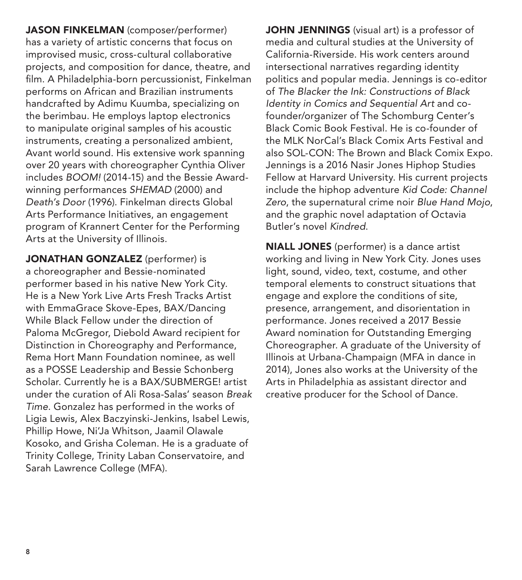JASON FINKELMAN (composer/performer) has a variety of artistic concerns that focus on improvised music, cross-cultural collaborative projects, and composition for dance, theatre, and film. A Philadelphia-born percussionist, Finkelman performs on African and Brazilian instruments handcrafted by Adimu Kuumba, specializing on the berimbau. He employs laptop electronics to manipulate original samples of his acoustic instruments, creating a personalized ambient, Avant world sound. His extensive work spanning over 20 years with choreographer Cynthia Oliver includes *BOOM!* (2014-15) and the Bessie Awardwinning performances *SHEMAD* (2000) and *Death's Door* (1996). Finkelman directs Global Arts Performance Initiatives, an engagement program of Krannert Center for the Performing Arts at the University of Illinois.

JONATHAN GONZALEZ (performer) is a choreographer and Bessie-nominated performer based in his native New York City. He is a New York Live Arts Fresh Tracks Artist with EmmaGrace Skove-Epes, BAX/Dancing While Black Fellow under the direction of Paloma McGregor, Diebold Award recipient for Distinction in Choreography and Performance, Rema Hort Mann Foundation nominee, as well as a POSSE Leadership and Bessie Schonberg Scholar. Currently he is a BAX/SUBMERGE! artist under the curation of Ali Rosa-Salas' season *Break Time*. Gonzalez has performed in the works of Ligia Lewis, Alex Baczyinski-Jenkins, Isabel Lewis, Phillip Howe, Ni'Ja Whitson, Jaamil Olawale Kosoko, and Grisha Coleman. He is a graduate of Trinity College, Trinity Laban Conservatoire, and Sarah Lawrence College (MFA).

JOHN JENNINGS (visual art) is a professor of media and cultural studies at the University of California-Riverside. His work centers around intersectional narratives regarding identity politics and popular media. Jennings is co-editor of *The Blacker the Ink: Constructions of Black Identity in Comics and Sequential Art* and cofounder/organizer of The Schomburg Center's Black Comic Book Festival. He is co-founder of the MLK NorCal's Black Comix Arts Festival and also SOL-CON: The Brown and Black Comix Expo. Jennings is a 2016 Nasir Jones Hiphop Studies Fellow at Harvard University. His current projects include the hiphop adventure *Kid Code: Channel Zero*, the supernatural crime noir *Blue Hand Mojo*, and the graphic novel adaptation of Octavia Butler's novel *Kindred*.

NIALL JONES (performer) is a dance artist working and living in New York City. Jones uses light, sound, video, text, costume, and other temporal elements to construct situations that engage and explore the conditions of site, presence, arrangement, and disorientation in performance. Jones received a 2017 Bessie Award nomination for Outstanding Emerging Choreographer. A graduate of the University of Illinois at Urbana-Champaign (MFA in dance in 2014), Jones also works at the University of the Arts in Philadelphia as assistant director and creative producer for the School of Dance.